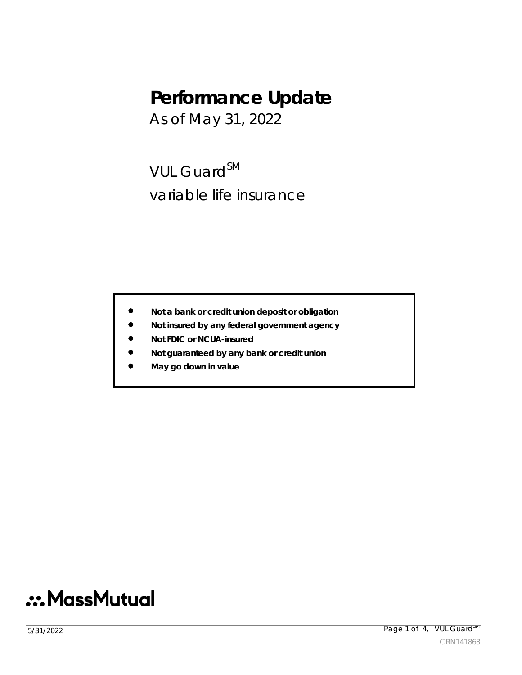## **Performance Update**

As of May 31, 2022

VUL Guard<sup>SM</sup> variable life insurance

- **Not a bank or credit union deposit or obligation**
- **Not insured by any federal government agency**
- **Not FDIC or NCUA-insured**
- **Not guaranteed by any bank or credit union**
- **May go down in value**

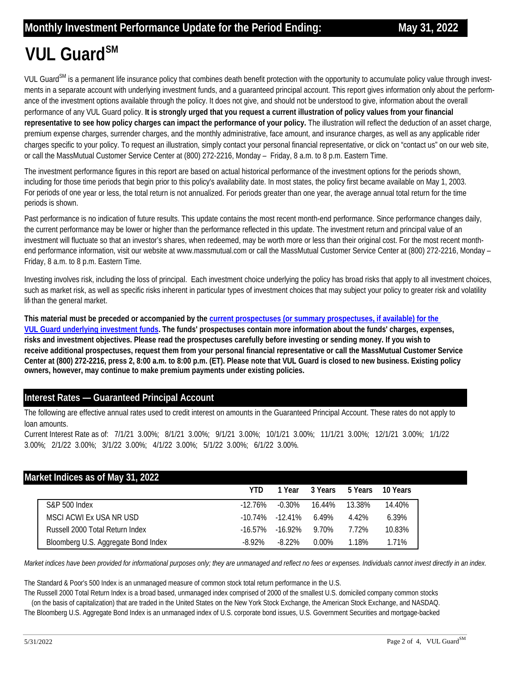## **VUL Guard**SM

VUL Guard<sup>SM</sup> is a permanent life insurance policy that combines death benefit protection with the opportunity to accumulate policy value through investments in a separate account with underlying investment funds, and a guaranteed principal account. This report gives information only about the performance of the investment options available through the policy. It does not give, and should not be understood to give, information about the overall performance of any VUL Guard policy. **It is strongly urged that you request a current illustration of policy values from your financial**  representative to see how policy charges can impact the performance of your policy. The illustration will reflect the deduction of an asset charge, premium expense charges, surrender charges, and the monthly administrative, face amount, and insurance charges, as well as any applicable rider charges specific to your policy. To request an illustration, simply contact your personal financial representative, or click on "contact us" on our web site, or call the MassMutual Customer Service Center at (800) 272-2216, Monday – Friday, 8 a.m. to 8 p.m. Eastern Time.

The investment performance figures in this report are based on actual historical performance of the investment options for the periods shown, including for those time periods that begin prior to this policy's availability date. In most states, the policy first became available on May 1, 2003. For periods of one year or less, the total return is not annualized. For periods greater than one year, the average annual total return for the time periods is shown.

Past performance is no indication of future results. This update contains the most recent month-end performance. Since performance changes daily, the current performance may be lower or higher than the performance reflected in this update. The investment return and principal value of an investment will fluctuate so that an investor's shares, when redeemed, may be worth more or less than their original cost. For the most recent monthend performance information, visit our website at www.massmutual.com or call the MassMutual Customer Service Center at (800) 272-2216, Monday -Friday, 8 a.m. to 8 p.m. Eastern Time.

Investing involves risk, including the loss of principal. Each investment choice underlying the policy has broad risks that apply to all investment choices, such as market risk, as well as specific risks inherent in particular types of investment choices that may subject your policy to greater risk and volatility lif than the general market.

**This material must be preceded or accompanied by the current prospectuses (or summary prospectuses, if available) for the VUL Guard underlying investment funds. The funds' prospectuses contain more information about the funds' charges, expenses, risks and investment objectives. Please read the prospectuses carefully before investing or sending money. If you wish to [receive additional prospectuses, request them from your personal financial representative or call the MassMutual Customer Service](https://www.massmutual.com/product-performance/product-performance-listing-page/vul-guard)  Center at (800) 272-2216, press 2, 8:00 a.m. to 8:00 p.m. (ET). Please note that VUL Guard is closed to new business. Existing policy owners, however, may continue to make premium payments under existing policies.** 

## **Interest Rates — Guaranteed Principal Account**

The following are effective annual rates used to credit interest on amounts in the Guaranteed Principal Account. These rates do not apply to loan amounts.

Current Interest Rate as of: 7/1/21 3.00%; 8/1/21 3.00%; 9/1/21 3.00%; 10/1/21 3.00%; 11/1/21 3.00%; 12/1/21 3.00%; 1/1/22 3.00%; 2/1/22 3.00%; 3/1/22 3.00%; 4/1/22 3.00%; 5/1/22 3.00%; 6/1/22 3.00%.

| Market Indices as of May 31, 2022 |                                     |            |            |          |         |          |  |  |  |  |  |
|-----------------------------------|-------------------------------------|------------|------------|----------|---------|----------|--|--|--|--|--|
|                                   |                                     | YTD        | 1 Year     | 3 Years  | 5 Years | 10 Years |  |  |  |  |  |
|                                   | <b>S&amp;P 500 Index</b>            | $-12.76\%$ | $-0.30\%$  | 16.44%   | 13.38%  | 14.40%   |  |  |  |  |  |
|                                   | MSCI ACWI Ex USA NR USD             | $-10.74\%$ | $-12.41\%$ | 6.49%    | 4.42%   | 6.39%    |  |  |  |  |  |
|                                   | Russell 2000 Total Return Index     | $-16.57\%$ | -16 92%    | 9.70%    | 7.72%   | 10.83%   |  |  |  |  |  |
|                                   | Bloomberg U.S. Aggregate Bond Index | $-8.92\%$  | -8 22%     | $0.00\%$ | 1.18%   | 1.71%    |  |  |  |  |  |

*Market indices have been provided for informational purposes only; they are unmanaged and reflect no fees or expenses. Individuals cannot invest directly in an index.* 

The Standard & Poor's 500 Index is an unmanaged measure of common stock total return performance in the U.S.

The Russell 2000 Total Return Index is a broad based, unmanaged index comprised of 2000 of the smallest U.S. domiciled company common stocks (on the basis of capitalization) that are traded in the United States on the New York Stock Exchange, the American Stock Exchange, and NASDAQ.

The Bloomberg U.S. Aggregate Bond Index is an unmanaged index of U.S. corporate bond issues, U.S. Government Securities and mortgage-backed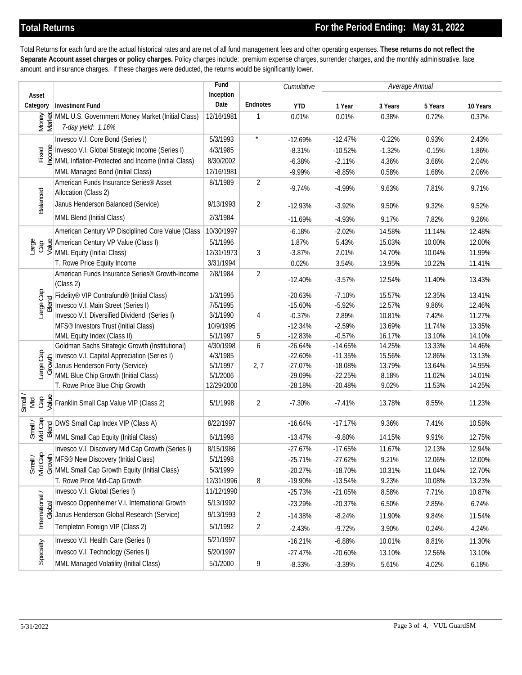Total Returns for each fund are the actual historical rates and are net of all fund management fees and other operating expenses. **These returns do not reflect the Separate Account asset charges or policy charges.** Policy charges include: premium expense charges, surrender charges, and the monthly administrative, face amount, and insurance charges. If these charges were deducted, the returns would be significantly lower.

|                                                                                                                                                                                                                                                                                                                                                                                                                                                                                                                                                                                                                                                            |                                                                                                                                                                                                                                   | Fund                 |                | Cumulative             | Average Annual         |                  |                          |                  |
|------------------------------------------------------------------------------------------------------------------------------------------------------------------------------------------------------------------------------------------------------------------------------------------------------------------------------------------------------------------------------------------------------------------------------------------------------------------------------------------------------------------------------------------------------------------------------------------------------------------------------------------------------------|-----------------------------------------------------------------------------------------------------------------------------------------------------------------------------------------------------------------------------------|----------------------|----------------|------------------------|------------------------|------------------|--------------------------|------------------|
| Asset                                                                                                                                                                                                                                                                                                                                                                                                                                                                                                                                                                                                                                                      |                                                                                                                                                                                                                                   | Inception            |                |                        |                        |                  |                          |                  |
| Category                                                                                                                                                                                                                                                                                                                                                                                                                                                                                                                                                                                                                                                   | <b>Investment Fund</b>                                                                                                                                                                                                            | Date                 | Endnotes       | <b>YTD</b>             | 1 Year                 | 3 Years          | 5 Years                  | 10 Years         |
| Money<br>Market                                                                                                                                                                                                                                                                                                                                                                                                                                                                                                                                                                                                                                            | MML U.S. Government Money Market (Initial Class)<br>7-day yield: 1.16%                                                                                                                                                            | 12/16/1981           | 1              | 0.01%                  | 0.01%                  | 0.38%            | 0.72%                    | 0.37%            |
|                                                                                                                                                                                                                                                                                                                                                                                                                                                                                                                                                                                                                                                            | Invesco V.I. Core Bond (Series I)                                                                                                                                                                                                 | 5/3/1993             | $\star$        | $-12.69%$              | $-12.47%$              | $-0.22%$         | 0.93%                    | 2.43%            |
| Fixed<br>Income                                                                                                                                                                                                                                                                                                                                                                                                                                                                                                                                                                                                                                            | Invesco V.I. Global Strategic Income (Series I)                                                                                                                                                                                   | 4/3/1985             |                | $-8.31%$               | $-10.52%$              | $-1.32%$         | $-0.15%$                 | 1.86%            |
|                                                                                                                                                                                                                                                                                                                                                                                                                                                                                                                                                                                                                                                            | MML Inflation-Protected and Income (Initial Class)                                                                                                                                                                                | 8/30/2002            |                | $-6.38%$               | $-2.11%$               | 4.36%            | 3.66%                    | 2.04%            |
|                                                                                                                                                                                                                                                                                                                                                                                                                                                                                                                                                                                                                                                            | MML Managed Bond (Initial Class)                                                                                                                                                                                                  | 12/16/1981           |                | $-9.99%$               | $-8.85%$               | 0.58%            | 1.68%                    | 2.06%            |
|                                                                                                                                                                                                                                                                                                                                                                                                                                                                                                                                                                                                                                                            | American Funds Insurance Series <sup>®</sup> Asset<br>Allocation (Class 2)                                                                                                                                                        | 8/1/1989             | $\overline{2}$ | $-9.74%$               | $-4.99%$               | 9.63%            | 7.81%                    | 9.71%            |
| Balanced                                                                                                                                                                                                                                                                                                                                                                                                                                                                                                                                                                                                                                                   | Janus Henderson Balanced (Service)                                                                                                                                                                                                | 9/13/1993            | 2              | $-12.93%$              | $-3.92%$               | 9.50%            | 9.32%                    | 9.52%            |
|                                                                                                                                                                                                                                                                                                                                                                                                                                                                                                                                                                                                                                                            | MML Blend (Initial Class)                                                                                                                                                                                                         | 2/3/1984             |                | $-11.69%$              | $-4.93%$               | 9.17%            | 7.82%                    | 9.26%            |
|                                                                                                                                                                                                                                                                                                                                                                                                                                                                                                                                                                                                                                                            | American Century VP Disciplined Core Value (Class                                                                                                                                                                                 | 10/30/1997           |                | $-6.18%$               | $-2.02%$               | 14.58%           | 11.14%                   | 12.48%           |
|                                                                                                                                                                                                                                                                                                                                                                                                                                                                                                                                                                                                                                                            | $\frac{8}{15}$ $\frac{8}{15}$ $\frac{4}{15}$ American Century VP Value (Class I)<br>$\frac{1}{15}$ $\frac{1}{15}$ MML Equity (Initial Class)                                                                                      | 5/1/1996             |                | 1.87%                  | 5.43%                  | 15.03%           | 10.00%                   | 12.00%           |
|                                                                                                                                                                                                                                                                                                                                                                                                                                                                                                                                                                                                                                                            |                                                                                                                                                                                                                                   | 12/31/1973           | 3              | $-3.87%$               | 2.01%                  | 14.70%           | 10.04%                   | 11.99%           |
|                                                                                                                                                                                                                                                                                                                                                                                                                                                                                                                                                                                                                                                            | T. Rowe Price Equity Income                                                                                                                                                                                                       | 3/31/1994            |                | 0.02%                  | 3.54%                  | 13.95%           | 10.22%                   | 11.41%           |
|                                                                                                                                                                                                                                                                                                                                                                                                                                                                                                                                                                                                                                                            | American Funds Insurance Series <sup>®</sup> Growth-Income<br>(Class 2)                                                                                                                                                           | 2/8/1984             | $\overline{2}$ | $-12.40%$              | $-3.57%$               | 12.54%           | 11.40%                   | 13.43%           |
| Large Cap<br>Blend                                                                                                                                                                                                                                                                                                                                                                                                                                                                                                                                                                                                                                         | Fidelity® VIP Contrafund® (Initial Class)                                                                                                                                                                                         | 1/3/1995             |                | $-20.63%$              | $-7.10%$               | 15.57%           | 12.35%                   | 13.41%           |
|                                                                                                                                                                                                                                                                                                                                                                                                                                                                                                                                                                                                                                                            | Invesco V.I. Main Street (Series I)                                                                                                                                                                                               | 7/5/1995             |                | $-15.60%$              | $-5.92%$               | 12.57%           | 9.86%                    | 12.46%           |
|                                                                                                                                                                                                                                                                                                                                                                                                                                                                                                                                                                                                                                                            | Invesco V.I. Diversified Dividend (Series I)                                                                                                                                                                                      | 3/1/1990             | 4              | $-0.37%$               | 2.89%                  | 10.81%           | 7.42%                    | 11.27%           |
|                                                                                                                                                                                                                                                                                                                                                                                                                                                                                                                                                                                                                                                            | MFS <sup>®</sup> Investors Trust (Initial Class)                                                                                                                                                                                  | 10/9/1995            |                | $-12.34%$              | $-2.59%$               | 13.69%           | 11.74%                   | 13.35%           |
|                                                                                                                                                                                                                                                                                                                                                                                                                                                                                                                                                                                                                                                            | MML Equity Index (Class II)                                                                                                                                                                                                       | 5/1/1997             | 5              | $-12.83%$              | $-0.57%$               | 16.17%           | 13.10%                   | 14.10%           |
|                                                                                                                                                                                                                                                                                                                                                                                                                                                                                                                                                                                                                                                            | Goldman Sachs Strategic Growth (Institutional)                                                                                                                                                                                    | 4/30/1998            | 6              | $-26.64%$              | $-14.65%$              | 14.25%           | 13.33%                   | 14.46%           |
| Large Cap<br>Growth                                                                                                                                                                                                                                                                                                                                                                                                                                                                                                                                                                                                                                        | Invesco V.I. Capital Appreciation (Series I)<br>Janus Henderson Forty (Service)                                                                                                                                                   | 4/3/1985<br>5/1/1997 | 2, 7           | $-22.60%$<br>$-27.07%$ | $-11.35%$<br>$-18.08%$ | 15.56%<br>13.79% | 12.86%<br>13.64%         | 13.13%<br>14.95% |
|                                                                                                                                                                                                                                                                                                                                                                                                                                                                                                                                                                                                                                                            | MML Blue Chip Growth (Initial Class)                                                                                                                                                                                              | 5/1/2006             |                | -29.09%                | $-22.25%$              | 8.18%            | 11.02%                   | 14.01%           |
|                                                                                                                                                                                                                                                                                                                                                                                                                                                                                                                                                                                                                                                            | T. Rowe Price Blue Chip Growth                                                                                                                                                                                                    | 12/29/2000           |                | $-28.18%$              | $-20.48%$              | 9.02%            | 11.53%                   | 14.25%           |
|                                                                                                                                                                                                                                                                                                                                                                                                                                                                                                                                                                                                                                                            |                                                                                                                                                                                                                                   |                      |                |                        |                        |                  |                          |                  |
| $\begin{array}{c}\n\overline{\mathsf{small}} \\ \overline{\mathsf{small}} \\ \overline{\mathsf{small}} \\ \overline{\mathsf{small}} \\ \overline{\mathsf{small}} \\ \overline{\mathsf{small}} \\ \overline{\mathsf{small}} \\ \overline{\mathsf{small}} \\ \overline{\mathsf{small}} \\ \overline{\mathsf{small}} \\ \overline{\mathsf{small}} \\ \overline{\mathsf{small}} \\ \overline{\mathsf{small}} \\ \overline{\mathsf{small}} \\ \overline{\mathsf{small}} \\ \overline{\mathsf{small}} \\ \overline{\mathsf{small}} \\ \overline{\mathsf{small}} \\ \overline{\mathsf{small}} \\ \overline{\mathsf{small}} \\ \overline{\mathsf{small}} \\ \over$ | Franklin Small Cap Value VIP (Class 2)                                                                                                                                                                                            | 5/1/1998             | $\overline{2}$ | $-7.30%$               | $-7.41%$               | 13.78%           | 8.55%                    | 11.23%           |
|                                                                                                                                                                                                                                                                                                                                                                                                                                                                                                                                                                                                                                                            | $\frac{1}{\overline{56}}$ $\frac{1}{\overline{56}}$ $\frac{1}{\overline{56}}$ DWS Small Cap Index VIP (Class A)<br>$\overline{56}$ $\frac{1}{\overline{56}}$ $\frac{1}{\overline{56}}$ MML Small Cap Equity (Initial Class)       | 8/22/1997            |                | $-16.64%$              | $-17.17%$              | 9.36%            | 7.41%                    | 10.58%           |
|                                                                                                                                                                                                                                                                                                                                                                                                                                                                                                                                                                                                                                                            |                                                                                                                                                                                                                                   | 6/1/1998             |                | $-13.47%$              | $-9.80%$               | 14.15%           | 9.91%                    | 12.75%           |
|                                                                                                                                                                                                                                                                                                                                                                                                                                                                                                                                                                                                                                                            | Invesco V.I. Discovery Mid Cap Growth (Series I)                                                                                                                                                                                  | 8/15/1986            |                | $-27.67%$              | $-17.65%$              | 11.67%           | 12.13%                   | 12.94%           |
|                                                                                                                                                                                                                                                                                                                                                                                                                                                                                                                                                                                                                                                            |                                                                                                                                                                                                                                   | 5/1/1998             |                | $-25.71%$              | $-27.62%$              | 9.21%            | 12.06%                   | 12.00%           |
|                                                                                                                                                                                                                                                                                                                                                                                                                                                                                                                                                                                                                                                            | $\frac{1}{\sqrt{2}}$ $\frac{1}{\sqrt{2}}$ $\frac{1}{\sqrt{2}}$ MFS® New Discovery (Initial Class)<br>$\frac{1}{\sqrt{2}}$ $\frac{1}{\sqrt{2}}$ MML Small Cap Growth Equity (Initia<br>MML Small Cap Growth Equity (Initial Class) | 5/3/1999             |                | $-20.27%$              | $-18.70%$              | 10.31%           | 11.04%                   | 12.70%           |
|                                                                                                                                                                                                                                                                                                                                                                                                                                                                                                                                                                                                                                                            | T. Rowe Price Mid-Cap Growth                                                                                                                                                                                                      | 12/31/1996           | 8              | $-19.90%$              | $-13.54%$              | 9.23%            | 10.08%                   | 13.23%           |
|                                                                                                                                                                                                                                                                                                                                                                                                                                                                                                                                                                                                                                                            | Invesco V.I. Global (Series I)                                                                                                                                                                                                    | 11/12/1990           |                | $-25.73%$              | $-21.05%$              | 8.58%            | 7.71%                    | 10.87%           |
| International /                                                                                                                                                                                                                                                                                                                                                                                                                                                                                                                                                                                                                                            | Invesco Oppenheimer V.I. International Growth                                                                                                                                                                                     | 5/13/1992            |                | $-23.29%$              | $-20.37%$              | 6.50%            | 2.85%                    | 6.74%            |
| Global                                                                                                                                                                                                                                                                                                                                                                                                                                                                                                                                                                                                                                                     | Janus Henderson Global Research (Service)                                                                                                                                                                                         | 9/13/1993            | $\overline{c}$ | $-14.38%$              | $-8.24%$               | 11.90%           | 9.84%                    | 11.54%           |
|                                                                                                                                                                                                                                                                                                                                                                                                                                                                                                                                                                                                                                                            | Templeton Foreign VIP (Class 2)                                                                                                                                                                                                   | 5/1/1992             | $\overline{2}$ | $-2.43%$               | $-9.72%$               | 3.90%            | 0.24%                    | 4.24%            |
|                                                                                                                                                                                                                                                                                                                                                                                                                                                                                                                                                                                                                                                            | Invesco V.I. Health Care (Series I)                                                                                                                                                                                               | 5/21/1997            |                | $-16.21%$              | $-6.88%$               | 10.01%           | 8.81%                    | 11.30%           |
| Specialty                                                                                                                                                                                                                                                                                                                                                                                                                                                                                                                                                                                                                                                  | Invesco V.I. Technology (Series I)                                                                                                                                                                                                | 5/20/1997            |                | $-27.47%$              | $-20.60%$              | 13.10%           | 12.56%                   | 13.10%           |
|                                                                                                                                                                                                                                                                                                                                                                                                                                                                                                                                                                                                                                                            | MML Managed Volatility (Initial Class)                                                                                                                                                                                            | 5/1/2000             | 9              | $-8.33%$               | $-3.39%$               | 5.61%            | 4.02%                    | 6.18%            |
| 5/31/2022                                                                                                                                                                                                                                                                                                                                                                                                                                                                                                                                                                                                                                                  |                                                                                                                                                                                                                                   |                      |                |                        |                        |                  | Page 3 of 4, VUL GuardSM |                  |